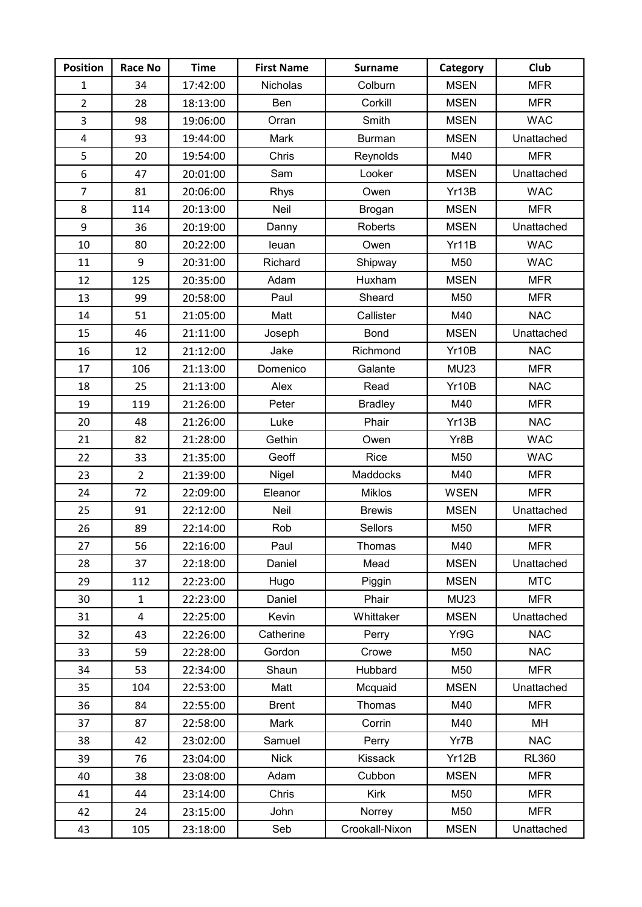| <b>Position</b> | <b>Race No</b> | <b>Time</b> | <b>First Name</b> | <b>Surname</b> | Category    | <b>Club</b>  |
|-----------------|----------------|-------------|-------------------|----------------|-------------|--------------|
| $\mathbf{1}$    | 34             | 17:42:00    | Nicholas          | Colburn        | <b>MSEN</b> | <b>MFR</b>   |
| $\overline{2}$  | 28             | 18:13:00    | Ben               | Corkill        | <b>MSEN</b> | <b>MFR</b>   |
| 3               | 98             | 19:06:00    | Orran             | Smith          | <b>MSEN</b> | <b>WAC</b>   |
| 4               | 93             | 19:44:00    | Mark              | <b>Burman</b>  | <b>MSEN</b> | Unattached   |
| 5               | 20             | 19:54:00    | Chris             | Reynolds       | M40         | <b>MFR</b>   |
| 6               | 47             | 20:01:00    | Sam               | Looker         | <b>MSEN</b> | Unattached   |
| $\overline{7}$  | 81             | 20:06:00    | Rhys              | Owen           | Yr13B       | <b>WAC</b>   |
| 8               | 114            | 20:13:00    | Neil              | Brogan         | <b>MSEN</b> | <b>MFR</b>   |
| 9               | 36             | 20:19:00    | Danny             | Roberts        | <b>MSEN</b> | Unattached   |
| 10              | 80             | 20:22:00    | leuan             | Owen           | Yr11B       | <b>WAC</b>   |
| 11              | 9              | 20:31:00    | Richard           | Shipway        | M50         | <b>WAC</b>   |
| 12              | 125            | 20:35:00    | Adam              | Huxham         | <b>MSEN</b> | <b>MFR</b>   |
| 13              | 99             | 20:58:00    | Paul              | Sheard         | M50         | <b>MFR</b>   |
| 14              | 51             | 21:05:00    | Matt              | Callister      | M40         | <b>NAC</b>   |
| 15              | 46             | 21:11:00    | Joseph            | <b>Bond</b>    | <b>MSEN</b> | Unattached   |
| 16              | 12             | 21:12:00    | Jake              | Richmond       | Yr10B       | <b>NAC</b>   |
| 17              | 106            | 21:13:00    | Domenico          | Galante        | <b>MU23</b> | <b>MFR</b>   |
| 18              | 25             | 21:13:00    | Alex              | Read           | Yr10B       | <b>NAC</b>   |
| 19              | 119            | 21:26:00    | Peter             | <b>Bradley</b> | M40         | <b>MFR</b>   |
| 20              | 48             | 21:26:00    | Luke              | Phair          | Yr13B       | <b>NAC</b>   |
| 21              | 82             | 21:28:00    | Gethin            | Owen           | Yr8B        | <b>WAC</b>   |
| 22              | 33             | 21:35:00    | Geoff             | Rice           | M50         | <b>WAC</b>   |
| 23              | $\overline{2}$ | 21:39:00    | Nigel             | Maddocks       | M40         | <b>MFR</b>   |
| 24              | 72             | 22:09:00    | Eleanor           | <b>Miklos</b>  | <b>WSEN</b> | <b>MFR</b>   |
| 25              | 91             | 22:12:00    | Neil              | <b>Brewis</b>  | <b>MSEN</b> | Unattached   |
| 26              | 89             | 22:14:00    | Rob               | Sellors        | M50         | <b>MFR</b>   |
| 27              | 56             | 22:16:00    | Paul              | Thomas         | M40         | <b>MFR</b>   |
| 28              | 37             | 22:18:00    | Daniel            | Mead           | <b>MSEN</b> | Unattached   |
| 29              | 112            | 22:23:00    | Hugo              | Piggin         | <b>MSEN</b> | <b>MTC</b>   |
| 30              | $\mathbf{1}$   | 22:23:00    | Daniel            | Phair          | <b>MU23</b> | <b>MFR</b>   |
| 31              | 4              | 22:25:00    | Kevin             | Whittaker      | <b>MSEN</b> | Unattached   |
| 32              | 43             | 22:26:00    | Catherine         | Perry          | Yr9G        | <b>NAC</b>   |
| 33              | 59             | 22:28:00    | Gordon            | Crowe          | M50         | <b>NAC</b>   |
| 34              | 53             | 22:34:00    | Shaun             | Hubbard        | M50         | <b>MFR</b>   |
| 35              | 104            | 22:53:00    | Matt              | Mcquaid        | <b>MSEN</b> | Unattached   |
| 36              | 84             | 22:55:00    | <b>Brent</b>      | Thomas         | M40         | <b>MFR</b>   |
| 37              | 87             | 22:58:00    | Mark              | Corrin         | M40         | MH           |
| 38              | 42             | 23:02:00    | Samuel            | Perry          | Yr7B        | <b>NAC</b>   |
| 39              | 76             | 23:04:00    | <b>Nick</b>       | Kissack        | Yr12B       | <b>RL360</b> |
| 40              | 38             | 23:08:00    | Adam              | Cubbon         | <b>MSEN</b> | <b>MFR</b>   |
| 41              | 44             | 23:14:00    | Chris             | Kirk           | M50         | <b>MFR</b>   |
| 42              | 24             | 23:15:00    | John              | Norrey         | M50         | <b>MFR</b>   |
| 43              | 105            | 23:18:00    | Seb               | Crookall-Nixon | <b>MSEN</b> | Unattached   |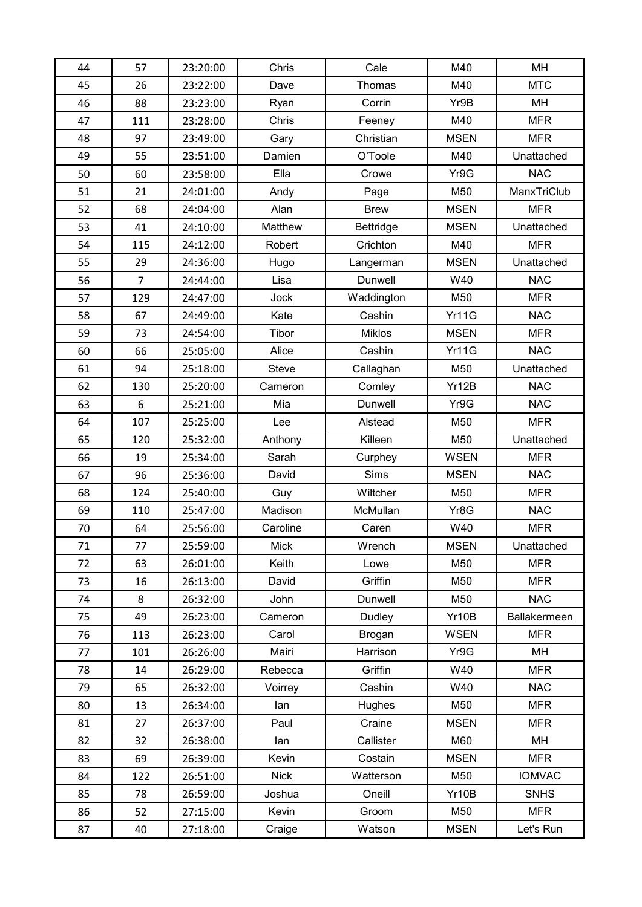| 44 | 57             | 23:20:00 | Chris        | Cale             | M40          | MH            |
|----|----------------|----------|--------------|------------------|--------------|---------------|
| 45 | 26             | 23:22:00 | Dave         | Thomas           | M40          | <b>MTC</b>    |
| 46 | 88             | 23:23:00 | Ryan         | Corrin           | Yr9B         | MH            |
| 47 | 111            | 23:28:00 | Chris        | Feeney           | M40          | <b>MFR</b>    |
| 48 | 97             | 23:49:00 | Gary         | Christian        | <b>MSEN</b>  | <b>MFR</b>    |
| 49 | 55             | 23:51:00 | Damien       | O'Toole          | M40          | Unattached    |
| 50 | 60             | 23:58:00 | Ella         | Crowe            | Yr9G         | <b>NAC</b>    |
| 51 | 21             | 24:01:00 | Andy         | Page             | M50          | ManxTriClub   |
| 52 | 68             | 24:04:00 | Alan         | <b>Brew</b>      | <b>MSEN</b>  | <b>MFR</b>    |
| 53 | 41             | 24:10:00 | Matthew      | <b>Bettridge</b> | <b>MSEN</b>  | Unattached    |
| 54 | 115            | 24:12:00 | Robert       | Crichton         | M40          | <b>MFR</b>    |
| 55 | 29             | 24:36:00 | Hugo         | Langerman        | <b>MSEN</b>  | Unattached    |
| 56 | $\overline{7}$ | 24:44:00 | Lisa         | Dunwell          | W40          | <b>NAC</b>    |
| 57 | 129            | 24:47:00 | Jock         | Waddington       | M50          | <b>MFR</b>    |
| 58 | 67             | 24:49:00 | Kate         | Cashin           | Yr11G        | <b>NAC</b>    |
| 59 | 73             | 24:54:00 | Tibor        | Miklos           | <b>MSEN</b>  | <b>MFR</b>    |
| 60 | 66             | 25:05:00 | Alice        | Cashin           | <b>Yr11G</b> | <b>NAC</b>    |
| 61 | 94             | 25:18:00 | <b>Steve</b> | Callaghan        | M50          | Unattached    |
| 62 | 130            | 25:20:00 | Cameron      | Comley           | Yr12B        | <b>NAC</b>    |
| 63 | 6              | 25:21:00 | Mia          | Dunwell          | Yr9G         | <b>NAC</b>    |
| 64 | 107            | 25:25:00 | Lee          | Alstead          | M50          | <b>MFR</b>    |
| 65 | 120            | 25:32:00 | Anthony      | Killeen          | M50          | Unattached    |
| 66 | 19             | 25:34:00 | Sarah        | Curphey          | <b>WSEN</b>  | <b>MFR</b>    |
| 67 | 96             | 25:36:00 | David        | Sims             | <b>MSEN</b>  | <b>NAC</b>    |
| 68 | 124            | 25:40:00 | Guy          | Wiltcher         | M50          | <b>MFR</b>    |
| 69 | 110            | 25:47:00 | Madison      | McMullan         | Yr8G         | <b>NAC</b>    |
| 70 | 64             | 25:56:00 | Caroline     | Caren            | W40          | <b>MFR</b>    |
| 71 | 77             | 25:59:00 | <b>Mick</b>  | Wrench           | <b>MSEN</b>  | Unattached    |
| 72 | 63             | 26:01:00 | Keith        | Lowe             | M50          | <b>MFR</b>    |
| 73 | 16             | 26:13:00 | David        | Griffin          | M50          | <b>MFR</b>    |
| 74 | 8              | 26:32:00 | John         | Dunwell          | M50          | <b>NAC</b>    |
| 75 | 49             | 26:23:00 | Cameron      | Dudley           | Yr10B        | Ballakermeen  |
| 76 | 113            | 26:23:00 | Carol        | Brogan           | <b>WSEN</b>  | <b>MFR</b>    |
| 77 | 101            | 26:26:00 | Mairi        | Harrison         | Yr9G         | MН            |
| 78 | 14             | 26:29:00 | Rebecca      | Griffin          | W40          | <b>MFR</b>    |
| 79 | 65             | 26:32:00 | Voirrey      | Cashin           | W40          | <b>NAC</b>    |
| 80 | 13             | 26:34:00 | lan          | Hughes           | M50          | <b>MFR</b>    |
| 81 | 27             | 26:37:00 | Paul         | Craine           | <b>MSEN</b>  | <b>MFR</b>    |
| 82 | 32             | 26:38:00 | lan          | Callister        | M60          | MH            |
| 83 | 69             | 26:39:00 | Kevin        | Costain          | <b>MSEN</b>  | <b>MFR</b>    |
| 84 | 122            | 26:51:00 | <b>Nick</b>  | Watterson        | M50          | <b>IOMVAC</b> |
| 85 | 78             | 26:59:00 | Joshua       | Oneill           | Yr10B        | <b>SNHS</b>   |
| 86 | 52             | 27:15:00 | Kevin        | Groom            | M50          | <b>MFR</b>    |
| 87 | 40             | 27:18:00 | Craige       | Watson           | <b>MSEN</b>  | Let's Run     |